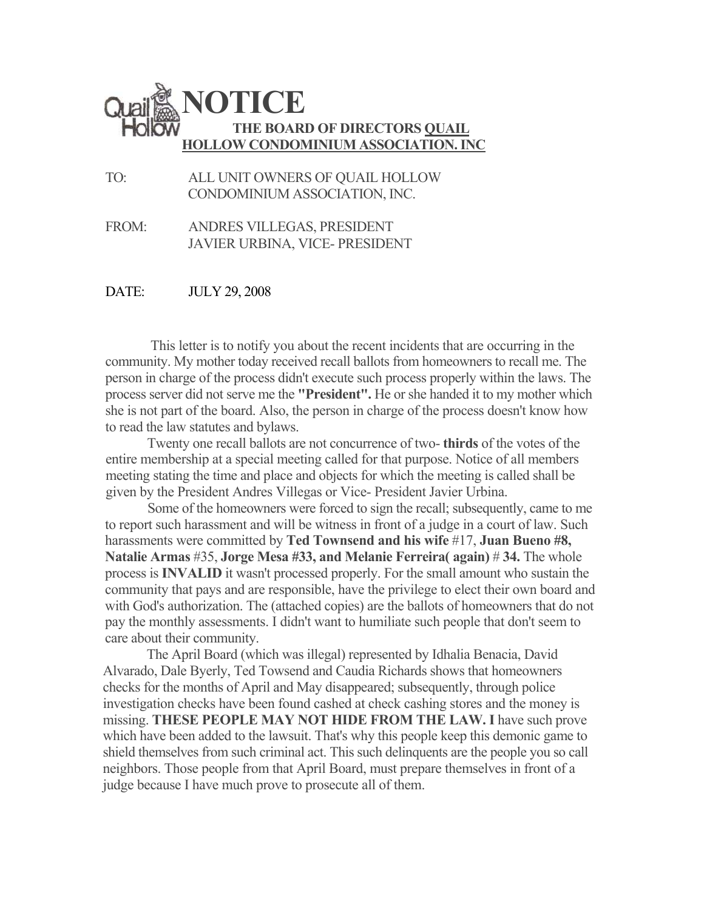

TO: ALL UNIT OWNERS OF QUAIL HOLLOW CONDOMINIUM ASSOCIATION, INC.

FROM: ANDRES VILLEGAS, PRESIDENT JAVIER URBINA, VICE- PRESIDENT

DATE: JULY 29, 2008

This letter is to notify you about the recent incidents that are occurring in the community. My mother today received recall ballots from homeowners to recall me. The person in charge of the process didn't execute such process properly within the laws. The process server did not serve me the **"President".** He or she handed it to my mother which she is not part of the board. Also, the person in charge of the process doesn't know how to read the law statutes and bylaws.

Twenty one recall ballots are not concurrence of two- **thirds** of the votes of the entire membership at a special meeting called for that purpose. Notice of all members meeting stating the time and place and objects for which the meeting is called shall be given by the President Andres Villegas or Vice- President Javier Urbina.

Some of the homeowners were forced to sign the recall; subsequently, came to me to report such harassment and will be witness in front of a judge in a court of law. Such harassments were committed by **Ted Townsend and his wife** #17, **Juan Bueno #8, Natalie Armas** #35, **Jorge Mesa #33, and Melanie Ferreira( again)** # **34.** The whole process is **INVALID** it wasn't processed properly. For the small amount who sustain the community that pays and are responsible, have the privilege to elect their own board and with God's authorization. The (attached copies) are the ballots of homeowners that do not pay the monthly assessments. I didn't want to humiliate such people that don't seem to care about their community.

The April Board (which was illegal) represented by Idhalia Benacia, David Alvarado, Dale Byerly, Ted Towsend and Caudia Richards shows that homeowners checks for the months of April and May disappeared; subsequently, through police investigation checks have been found cashed at check cashing stores and the money is missing. **THESE PEOPLE MAY NOT HIDE FROM THE LAW. I** have such prove which have been added to the lawsuit. That's why this people keep this demonic game to shield themselves from such criminal act. This such delinquents are the people you so call neighbors. Those people from that April Board, must prepare themselves in front of a judge because I have much prove to prosecute all of them.